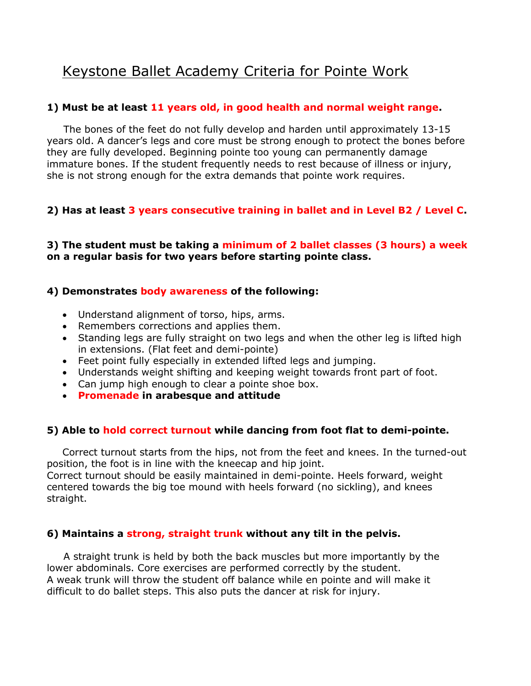# Keystone Ballet Academy Criteria for Pointe Work

## **1) Must be at least 11 years old, in good health and normal weight range.**

 The bones of the feet do not fully develop and harden until approximately 13-15 years old. A dancer's legs and core must be strong enough to protect the bones before they are fully developed. Beginning pointe too young can permanently damage immature bones. If the student frequently needs to rest because of illness or injury, she is not strong enough for the extra demands that pointe work requires.

## **2) Has at least 3 years consecutive training in ballet and in Level B2 / Level C.**

## **3) The student must be taking a minimum of 2 ballet classes (3 hours) a week on a regular basis for two years before starting pointe class.**

## **4) Demonstrates body awareness of the following:**

- Understand alignment of torso, hips, arms.
- Remembers corrections and applies them.
- Standing legs are fully straight on two legs and when the other leg is lifted high in extensions. (Flat feet and demi-pointe)
- Feet point fully especially in extended lifted legs and jumping.
- Understands weight shifting and keeping weight towards front part of foot.
- Can jump high enough to clear a pointe shoe box.
- **Promenade in arabesque and attitude**

## **5) Able to hold correct turnout while dancing from foot flat to demi-pointe.**

Correct turnout starts from the hips, not from the feet and knees. In the turned-out position, the foot is in line with the kneecap and hip joint. Correct turnout should be easily maintained in demi-pointe. Heels forward, weight centered towards the big toe mound with heels forward (no sickling), and knees straight.

## **6) Maintains a strong, straight trunk without any tilt in the pelvis.**

 A straight trunk is held by both the back muscles but more importantly by the lower abdominals. Core exercises are performed correctly by the student. A weak trunk will throw the student off balance while en pointe and will make it difficult to do ballet steps. This also puts the dancer at risk for injury.